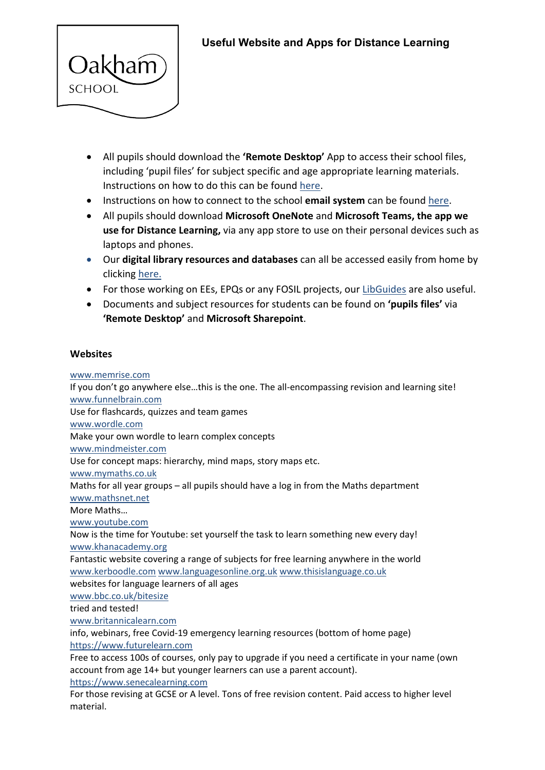

- All pupils should download the **'Remote Desktop'** App to access their school files, including 'pupil files' for subject specific and age appropriate learning materials. Instructions on how to do this can be found [here.](https://start.oakham.rutland.sch.uk/Documents/APPS-instructions.pdf)
- Instructions on how to connect to the school **email system** can be found [here.](https://start.oakham.rutland.sch.uk/Documents/8021x-settings.pdf)
- All pupils should download **Microsoft OneNote** and **Microsoft Teams, the app we use for Distance Learning,** via any app store to use on their personal devices such as laptops and phones.
- Our **digital library resources and databases** can all be accessed easily from home by clicking [here.](https://library.oakham.rutland.sch.uk/)
- For those working on EEs, EPQs or any FOSIL projects, our [LibGuides](https://oakham-rutland.libguides.com/?b=p) are also useful.
- Documents and subject resources for students can be found on **'pupils files'** via **'Remote Desktop'** and **Microsoft Sharepoint**.

## **Websites**

[www.memrise.com](http://www.memrise.com/)

If you don't go anywhere else…this is the one. The all-encompassing revision and learning site! [www.funnelbrain.com](http://www.funnelbrain.com/) Use for flashcards, quizzes and team games [www.wordle.com](http://www.wordle.com/) Make your own wordle to learn complex concepts [www.mindmeister.com](http://www.mindmeister.com/) Use for concept maps: hierarchy, mind maps, story maps etc. [www.mymaths.co.uk](http://www.mymaths.co.uk/) Maths for all year groups – all pupils should have a log in from the Maths department [www.mathsnet.net](http://www.mathsnet.net/) More Maths… [www.youtube.com](http://www.youtube.com/) Now is the time for Youtube: set yourself the task to learn something new every day! [www.khanacademy.org](http://www.khanacademy.org/) Fantastic website covering a range of subjects for free learning anywhere in the world [www.kerboodle.com](http://www.kerboodle.com/) [www.languagesonline.org.uk](http://www.languagesonline.org.uk/) [www.thisislanguage.co.uk](http://www.thisislanguage.co.uk/) websites for language learners of all ages [www.bbc.co.uk/bitesize](http://www.bbc.co.uk/bitesize) tried and tested! [www.britannicalearn.com](http://www.britannicalearn.com/) info, webinars, free Covid-19 emergency learning resources (bottom of home page) [https://www.futurelearn.com](https://www.futurelearn.com/) Free to access 100s of courses, only pay to upgrade if you need a certificate in your name (own account from age 14+ but younger learners can use a parent account). [https://www.senecalearning.com](https://www.senecalearning.com/) For those revising at GCSE or A level. Tons of free revision content. Paid access to higher level material.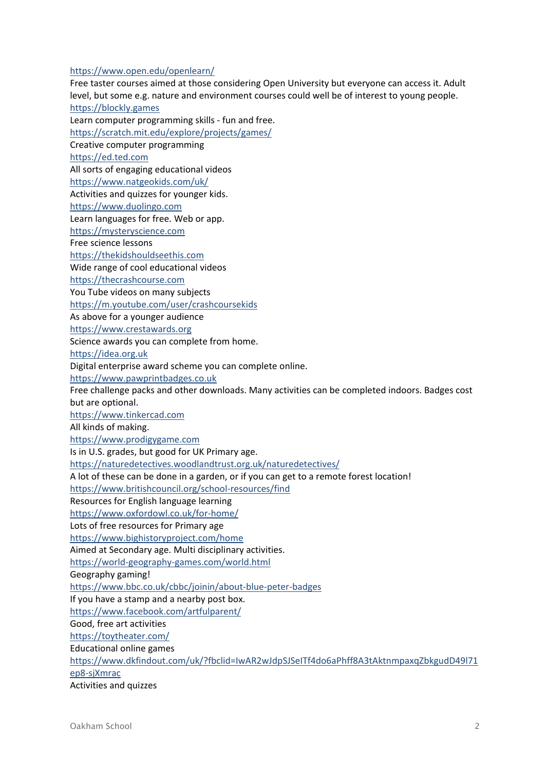<https://www.open.edu/openlearn/>

Free taster courses aimed at those considering Open University but everyone can access it. Adult level, but some e.g. nature and environment courses could well be of interest to young people. [https://blockly.games](https://blockly.games/)

Learn computer programming skills - fun and free. <https://scratch.mit.edu/explore/projects/games/> Creative computer programming [https://ed.ted.com](https://ed.ted.com/) All sorts of engaging educational videos <https://www.natgeokids.com/uk/> Activities and quizzes for younger kids. [https://www.duolingo.com](https://www.duolingo.com/) Learn languages for free. Web or app. [https://mysteryscience.com](https://mysteryscience.com/) Free science lessons [https://thekidshouldseethis.com](https://thekidshouldseethis.com/) Wide range of cool educational videos [https://thecrashcourse.com](https://thecrashcourse.com/) You Tube videos on many subjects <https://m.youtube.com/user/crashcoursekids> As above for a younger audience [https://www.crestawards.org](https://www.crestawards.org/) Science awards you can complete from home. [https://idea.org.uk](https://idea.org.uk/) Digital enterprise award scheme you can complete online. [https://www.pawprintbadges.co.uk](https://www.pawprintbadges.co.uk/) Free challenge packs and other downloads. Many activities can be completed indoors. Badges cost but are optional. [https://www.tinkercad.com](https://www.tinkercad.com/) All kinds of making. [https://www.prodigygame.com](https://www.prodigygame.com/) Is in U.S. grades, but good for UK Primary age. <https://naturedetectives.woodlandtrust.org.uk/naturedetectives/> A lot of these can be done in a garden, or if you can get to a remote forest location! <https://www.britishcouncil.org/school-resources/find> Resources for English language learning <https://www.oxfordowl.co.uk/for-home/> Lots of free resources for Primary age <https://www.bighistoryproject.com/home> Aimed at Secondary age. Multi disciplinary activities. <https://world-geography-games.com/world.html> Geography gaming! <https://www.bbc.co.uk/cbbc/joinin/about-blue-peter-badges> If you have a stamp and a nearby post box. <https://www.facebook.com/artfulparent/> Good, free art activities <https://toytheater.com/> Educational online games [https://www.dkfindout.com/uk/?fbclid=IwAR2wJdpSJSeITf4do6aPhff8A3tAktnmpaxqZbkgudD49l71](https://www.dkfindout.com/uk/?fbclid=IwAR2wJdpSJSeITf4do6aPhff8A3tAktnmpaxqZbkgudD49l71ep8-sjXmrac) [ep8-sjXmrac](https://www.dkfindout.com/uk/?fbclid=IwAR2wJdpSJSeITf4do6aPhff8A3tAktnmpaxqZbkgudD49l71ep8-sjXmrac) Activities and quizzes